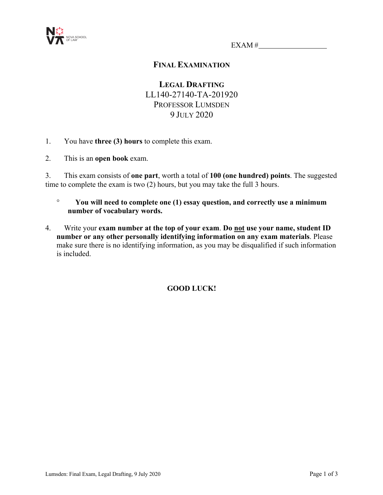

EXAM #

# **FINAL EXAMINATION**

**LEGAL DRAFTING** LL140-27140-TA-201920 PROFESSOR LUMSDEN 9 JULY 2020

- 1. You have **three (3) hours** to complete this exam.
- 2. This is an **open book** exam.

3. This exam consists of **one part**, worth a total of **100 (one hundred) points**. The suggested time to complete the exam is two (2) hours, but you may take the full 3 hours.

- ° **You will need to complete one (1) essay question, and correctly use a minimum number of vocabulary words.**
- 4. Write your **exam number at the top of your exam**. **Do not use your name, student ID number or any other personally identifying information on any exam materials**. Please make sure there is no identifying information, as you may be disqualified if such information is included.

## **GOOD LUCK!**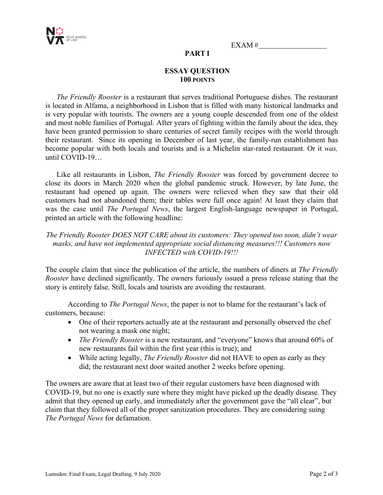

EXAM #

## **PART I**

## **ESSAY QUESTION 100 POINTS**

*The Friendly Rooster* is a restaurant that serves traditional Portuguese dishes. The restaurant is located in Alfama, a neighborhood in Lisbon that is filled with many historical landmarks and is very popular with tourists. The owners are a young couple descended from one of the oldest and most noble families of Portugal. After years of fighting within the family about the idea, they have been granted permission to share centuries of secret family recipes with the world through their restaurant. Since its opening in December of last year, the family-run establishment has become popular with both locals and tourists and is a Michelin star-rated restaurant. Or it *was,* until COVID-19…

Like all restaurants in Lisbon, *The Friendly Rooster* was forced by government decree to close its doors in March 2020 when the global pandemic struck. However, by late June, the restaurant had opened up again. The owners were relieved when they saw that their old customers had not abandoned them; their tables were full once again! At least they claim that was the case until *The Portugal News*, the largest English-language newspaper in Portugal, printed an article with the following headline:

#### *The Friendly Rooster DOES NOT CARE about its customers: They opened too soon, didn't wear masks, and have not implemented appropriate social distancing measures!!! Customers now INFECTED with COVID-19!!!*

The couple claim that since the publication of the article, the numbers of diners at *The Friendly Rooster* have declined significantly. The owners furiously issued a press release stating that the story is entirely false. Still, locals and tourists are avoiding the restaurant.

According to *The Portugal News*, the paper is not to blame for the restaurant's lack of customers, because:

- One of their reporters actually ate at the restaurant and personally observed the chef not wearing a mask one night;
- *The Friendly Rooster* is a new restaurant, and "everyone" knows that around 60% of new restaurants fail within the first year (this is true); and
- While acting legally, *The Friendly Rooster* did not HAVE to open as early as they did; the restaurant next door waited another 2 weeks before opening.

The owners are aware that at least two of their regular customers have been diagnosed with COVID-19, but no one is exactly sure where they might have picked up the deadly disease. They admit that they opened up early, and immediately after the government gave the "all clear", but claim that they followed all of the proper sanitization procedures. They are considering suing *The Portugal News* for defamation.